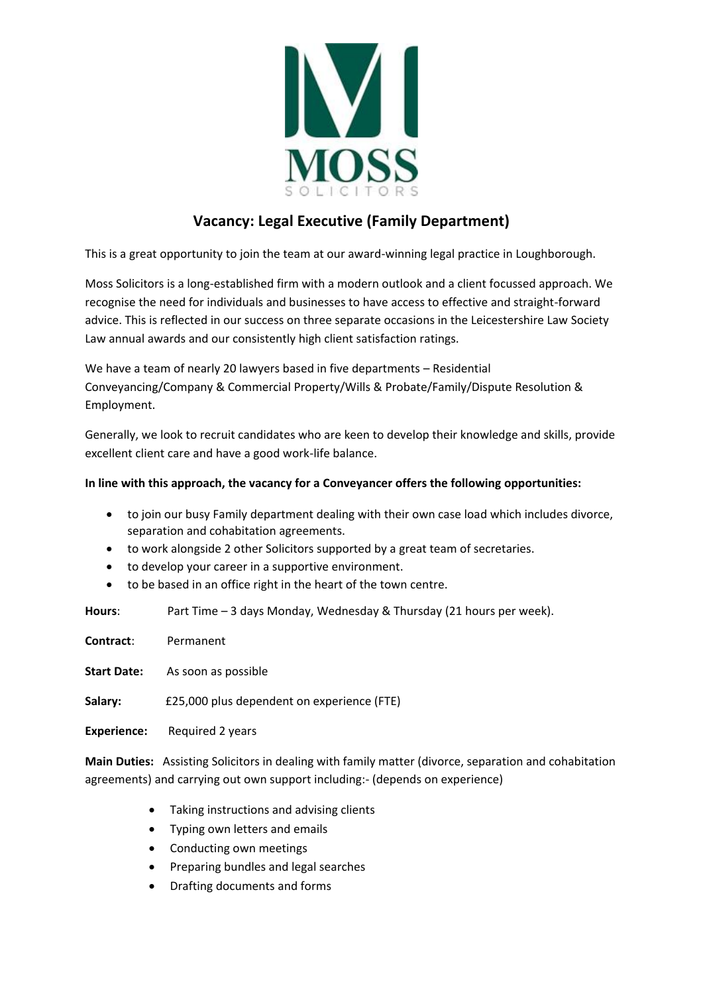

## **Vacancy: Legal Executive (Family Department)**

This is a great opportunity to join the team at our award-winning legal practice in Loughborough.

Moss Solicitors is a long-established firm with a modern outlook and a client focussed approach. We recognise the need for individuals and businesses to have access to effective and straight-forward advice. This is reflected in our success on three separate occasions in the Leicestershire Law Society Law annual awards and our consistently high client satisfaction ratings.

We have a team of nearly 20 lawyers based in five departments – Residential Conveyancing/Company & Commercial Property/Wills & Probate/Family/Dispute Resolution & Employment.

Generally, we look to recruit candidates who are keen to develop their knowledge and skills, provide excellent client care and have a good work-life balance.

## **In line with this approach, the vacancy for a Conveyancer offers the following opportunities:**

- to join our busy Family department dealing with their own case load which includes divorce, separation and cohabitation agreements.
- to work alongside 2 other Solicitors supported by a great team of secretaries.
- to develop your career in a supportive environment.
- to be based in an office right in the heart of the town centre.

**Hours**: Part Time – 3 days Monday, Wednesday & Thursday (21 hours per week).

**Contract**: Permanent

**Start Date:** As soon as possible

**Salary:** £25,000 plus dependent on experience (FTE)

**Experience:** Required 2 years

**Main Duties:** Assisting Solicitors in dealing with family matter (divorce, separation and cohabitation agreements) and carrying out own support including:- (depends on experience)

- Taking instructions and advising clients
- Typing own letters and emails
- Conducting own meetings
- Preparing bundles and legal searches
- Drafting documents and forms